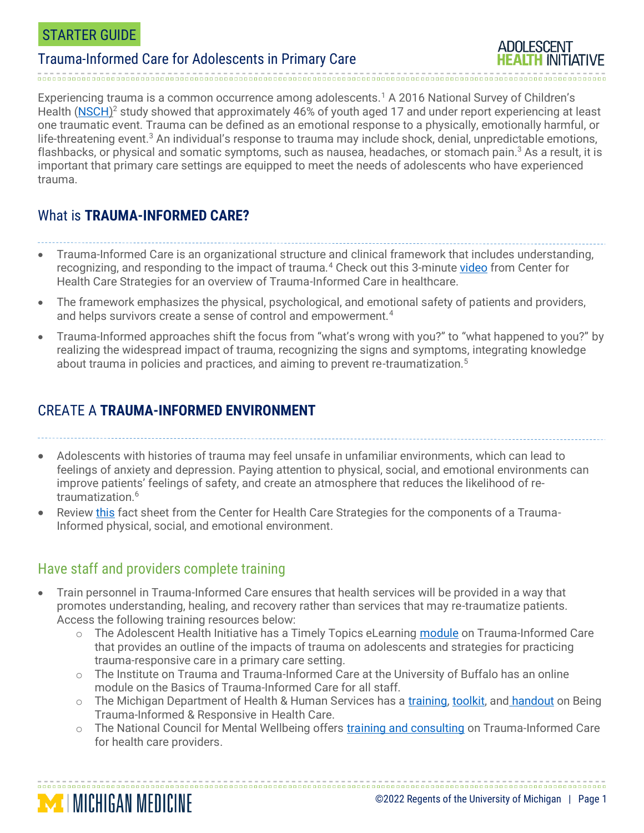#### STARTER GUIDE

### Trauma-Informed Care for Adolescents in Primary Care



Experiencing trauma is a common occurrence among adolescents.<sup>1</sup> A 2016 National Survey of Children's Health [\(NSCH\)](https://www.samhsa.gov/sites/default/files/brief_report_natl_childrens_mh_awareness_day.pdf)<sup>2</sup> study showed that approximately 46% of youth aged 17 and under report experiencing at least one traumatic event. Trauma can be defined as an emotional response to a physically, emotionally harmful, or life-threatening event.<sup>3</sup> An individual's response to trauma may include shock, denial, unpredictable emotions, flashbacks, or physical and somatic symptoms, such as nausea, headaches, or stomach pain. <sup>3</sup> As a result, it is important that primary care settings are equipped to meet the needs of adolescents who have experienced trauma.

# What is **TRAUMA-INFORMED CARE?**

• Trauma-Informed Care is an organizational structure and clinical framework that includes understanding,

- recognizing, and responding to the impact of trauma.<sup>4</sup> Check out this 3-minute [video](https://www.youtube.com/watch?v=fWken5DsJcw) from Center for Health Care Strategies for an overview of Trauma-Informed Care in healthcare.
- The framework emphasizes the physical, psychological, and emotional safety of patients and providers, and helps survivors create a sense of control and empowerment.<sup>4</sup>
- Trauma-Informed approaches shift the focus from "what's wrong with you?" to "what happened to you?" by realizing the widespread impact of trauma, recognizing the signs and symptoms, integrating knowledge about trauma in policies and practices, and aiming to prevent re-traumatization.<sup>5</sup>

# CREATE A **TRAUMA-INFORMED ENVIRONMENT**

• Adolescents with histories of trauma may feel unsafe in unfamiliar environments, which can lead to feelings of anxiety and depression. Paying attention to physical, social, and emotional environments can improve patients' feelings of safety, and create an atmosphere that reduces the likelihood of retraumatization.<sup>6</sup>

• Review [this](https://www.traumainformedcare.chcs.org/wp-content/uploads/2018/11/Fact-Sheet-Safe-Health-Care-Environments.pdf) fact sheet from the Center for Health Care Strategies for the components of a Trauma-Informed physical, social, and emotional environment.

### Have staff and providers complete training

**MINICHIGAN MEDICINE** 

- Train personnel in Trauma-Informed Care ensures that health services will be provided in a way that promotes understanding, healing, and recovery rather than services that may re-traumatize patients. Access the following training resources below:
	- o The Adolescent Health Initiative has a Timely Topics eLearning [module](https://umhs-adolescenthealth.org/wp-content/uploads/articulate_uploads/TT-TIC/index.html#/) on Trauma-Informed Care that provides an outline of the impacts of trauma on adolescents and strategies for practicing trauma-responsive care in a primary care setting.
	- o The Institute on Trauma and Trauma-Informed Care at the University of Buffalo has an online module on the Basics of Trauma-Informed Care for all staff.
	- $\circ$  The Michigan Department of Health & Human Services has a [training,](https://www.michigan.gov/mdhhs/0,5885,7-339-73971_4911_69588_80204_80360---,00.html) [toolkit,](https://www.michigan.gov/documents/mdhhs/Being_Trauma_Informed_Responsive_Toolkit_598338_7.pdf) and [handout](https://www.michigan.gov/documents/mdhhs/Being_Trauma_Informed_Responsive_Handouts_598344_7.pdf) on Being Trauma-Informed & Responsive in Health Care.
	- o The National Council for Mental Wellbeing offers [training and consulting](https://www.thenationalcouncil.org/areas-of-expertise/trauma-informed-behavioral-healthcare/) on Trauma-Informed Care for health care providers.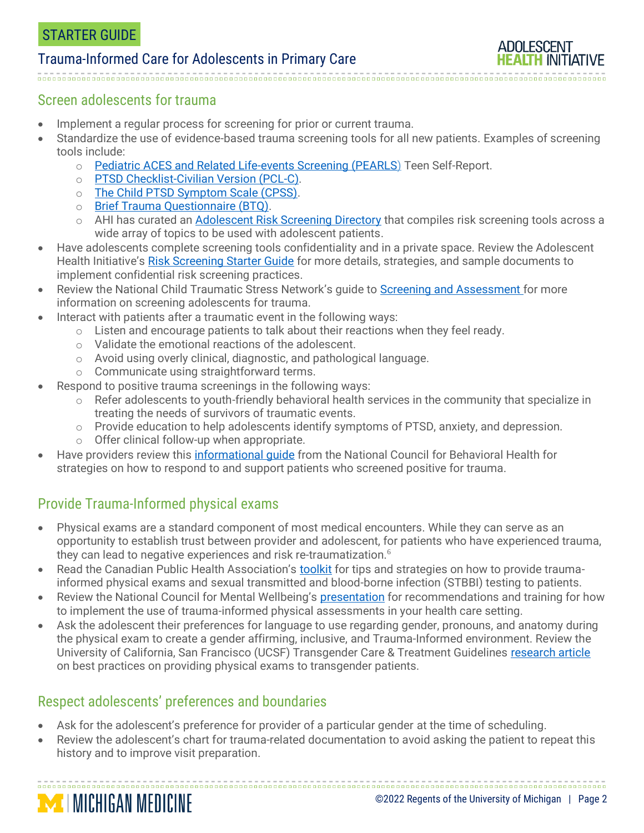#### Trauma-Informed Care for Adolescents in Primary Care



#### Screen adolescents for trauma

- Implement a regular process for screening for [prior](https://www.acesaware.org/learn-about-screening/screening-tools/) or current trauma.
- Standardize the use of evidence-based trauma screening tools for all new patients. Examples of screening tools include:
	- o [Pediatric ACES and Related Life-events Screening \(PEARLS\)](https://www.acesaware.org/wp-content/uploads/2019/12/PEARLS-Tool-Teen-Self-Report-De-Identified-English.pdf) Teen Self-Report.
	- o [PTSD Checklist-Civilian Version \(PCL-C\).](https://www.ptsd.va.gov/professional/assessment/documents/APCLC.pdf)
	- o [The Child PTSD Symptom Scale \(CPSS\).](https://www.aacap.org/App_Themes/AACAP/docs/resource_centers/resources/misc/child_ptsd_symptom_scale.pdf)
	- o [Brief Trauma Questionnaire \(BTQ\).](https://www.ptsd.va.gov/professional/assessment/documents/BTQ.pdf)
	- o AHI has curated an [Adolescent Risk Screening Directory](https://docs.google.com/spreadsheets/d/1xzQAUb-SkqXCDYyfBbihd7MmV1PEGdTubx1hqyz5N1U/edit?usp=sharing) that compiles risk screening tools across a wide array of topics to be used with adolescent patients.
- Have adolescents complete screening tools confidentiality and in a private space. Review the Adolescent Health Initiative's [Risk Screening Starter Guide](https://umhs-adolescenthealth.org/wp-content/uploads/2020/08/adolescent-risk-screening-starter-guide.pdf) for more details, strategies, and sample documents to implement confidential risk screening practices.
- Review the National Child Traumatic Stress Network's guide to [Screening and Assessment](https://www.nctsn.org/treatments-and-practices/screening-and-assessment) for more information on screening adolescents for trauma.
- Interact with patients after a traumatic event in the following ways:
	- $\circ$  Listen and encourage patients to talk about their reactions when they feel ready.
	- o Validate the emotional reactions of the adolescent.
	- o Avoid using overly clinical, diagnostic, and pathological language.
	- o Communicate using straightforward terms.
- Respond to positive trauma screenings in the following ways:
	- o Refer adolescents to youth-friendly behavioral health services in the community that specialize in treating the needs of survivors of traumatic events.
	- $\circ$  Provide education to help adolescents identify symptoms of PTSD, anxiety, and depression.
	- o Offer clinical follow-up when appropriate.
- Have providers review this informational quide from the National Council for Behavioral Health for strategies on how to respond to and support patients who screened positive for trauma.

# Provide Trauma-Informed physical exams

- Physical exams are a standard component of most medical encounters. While they can serve as an opportunity to establish trust between provider and adolescent, for patients who have experienced trauma, they can lead to negative experiences and risk re-traumatization.<sup>6</sup>
- Read the Canadian Public Health Association's [toolkit](https://www.cpha.ca/sites/default/files/uploads/resources/stbbi/trauma-informed-exam-tool-e.pdf) for tips and strategies on how to provide traumainformed physical exams and sexual transmitted and blood-borne infection (STBBI) testing to patients.
- Review the National Council for Mental Wellbeing's [presentation](https://www.thenationalcouncil.org/wp-content/uploads/2021/09/Trauma-Informed-Physical-Assessment-FINAL.pdf?daf=375ateTbd56) for recommendations and training for how to implement the use of trauma-informed physical assessments in your health care setting.
- Ask the adolescent their preferences for language to use regarding gender, pronouns, and anatomy during the physical exam to create a gender affirming, inclusive, and Trauma-Informed environment. Review the University of California, San Francisco (UCSF) Transgender Care & Treatment Guidelines [research article](https://transcare.ucsf.edu/guidelines/physical-examination) on best practices on providing physical exams to transgender patients.

### Respect adolescents' preferences and boundaries

**MICHIGAN MEDICINE** 

- Ask for the adolescent's preference for provider of a particular gender at the time of scheduling.
- Review the adolescent's chart for trauma-related documentation to avoid asking the patient to repeat this history and to improve visit preparation.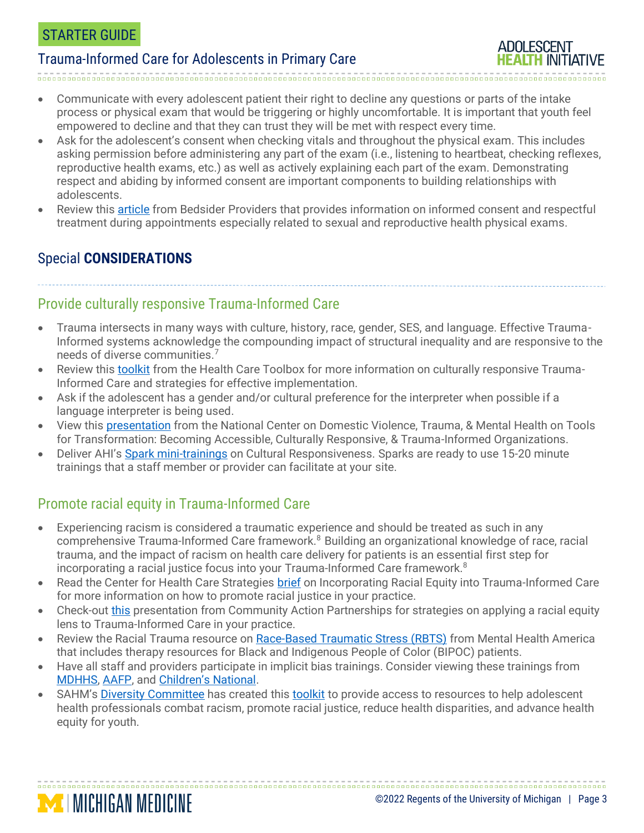#### STARTER GUIDE

#### Trauma-Informed Care for Adolescents in Primary Care

- 
- Communicate with every adolescent patient their right to decline any questions or parts of the intake process or physical exam that would be triggering or highly uncomfortable. It is important that youth feel empowered to decline and that they can trust they will be met with respect every time.
- Ask for the adolescent's consent when checking vitals and throughout the physical exam. This includes asking permission before administering any part of the exam (i.e., listening to heartbeat, checking reflexes, reproductive health exams, etc.) as well as actively explaining each part of the exam. Demonstrating respect and abiding by informed consent are important components to building relationships with adolescents.
- Review this [article](https://providers.bedsider.org/articles/why-and-how-providers-should-get-consent-in-the-exam-room) from Bedsider Providers that provides information on informed consent and respectful treatment during appointments especially related to sexual and reproductive health physical exams.

# Special **CONSIDERATIONS**

**MINICHIGAN MEDICINE** 

#### Provide culturally responsive Trauma-Informed Care

- Trauma intersects in many ways with culture, history, race, gender, SES, and language. Effective Trauma-Informed systems acknowledge the compounding impact of structural inequality and are responsive to the needs of diverse communities.<sup>7</sup>
- Review this [toolkit](https://www.healthcaretoolbox.org/culturally-sensitive-trauma-informed-care) from the Health Care Toolbox for more information on culturally responsive Trauma-Informed Care and strategies for effective implementation.
- Ask if the adolescent has a gender and/or cultural preference for the interpreter when possible if a language interpreter is being used.
- View this [presentation](http://www.nationalcenterdvtraumamh.org/wp-content/uploads/2018/04/NCDVTMH_2018_ToolsforTransformation_WarshawTinnonCave.pdf) from the National Center on Domestic Violence, Trauma, & Mental Health on Tools for Transformation: Becoming Accessible, Culturally Responsive, & Trauma-Informed Organizations.
- Deliver AHI's [Spark mini-trainings](https://umhs-adolescenthealth.org/improving-care/spark-trainings/) on Cultural Responsiveness. Sparks are ready to use 15-20 minute trainings that a staff member or provider can facilitate at your site.

### Promote racial equity in Trauma-Informed Care

- Experiencing racism is considered a traumatic experience and should be treated as such in any comprehensive Trauma-Informed Care framework.<sup>8</sup> Building an organizational knowledge of race, racial trauma, and the impact of racism on health care delivery for patients is an essential first step for incorporating a racial justice focus into your Trauma-Informed Care framework.<sup>8</sup>
- Read the Center for Health Care Strategies [brief](https://www.chcs.org/resource/incorporating-racial-equity-into-trauma-informed-care/) on Incorporating Racial Equity into Trauma-Informed Care for more information on how to promote racial justice in your practice.
- Check-out [this](https://communityactionpartnership.com/wp-content/uploads/2019/10/Applying-Racial-Equity-Lens-to-Creating-Trauma-Informed-Org-Dr-Shervington.pdf) presentation from Community Action Partnerships for strategies on applying a racial equity lens to Trauma-Informed Care in your practice.
- Review the Racial Trauma resource on [Race-Based Traumatic Stress \(RBTS\)](https://www.mhanational.org/racial-trauma) from Mental Health America that includes therapy resources for Black and Indigenous People of Color (BIPOC) patients.
- Have all staff and providers participate in implicit bias trainings. Consider viewing these trainings from [MDHHS,](https://www.michigan.gov/mdhhs/0,5885,7-339-71550_96967_100643---,00.html) [AAFP,](https://www.aafp.org/journals/fpm/blogs/inpractice/entry/implicit_bias.html) and [Children's National](https://childrensnational.org/news-and-events/video-gallery/implicit-racial-bias-in-healthcare-grand-rounds).
- SAHM's [Diversity Committee](https://www.adolescenthealth.org/Resources/Anti-Racism-Toolkit.aspx#DivCom) has created this [toolkit](https://www.adolescenthealth.org/Resources/Anti-Racism-Toolkit.aspx#About%20TK) to provide access to resources to help adolescent health professionals combat racism, promote racial justice, reduce health disparities, and advance health equity for youth.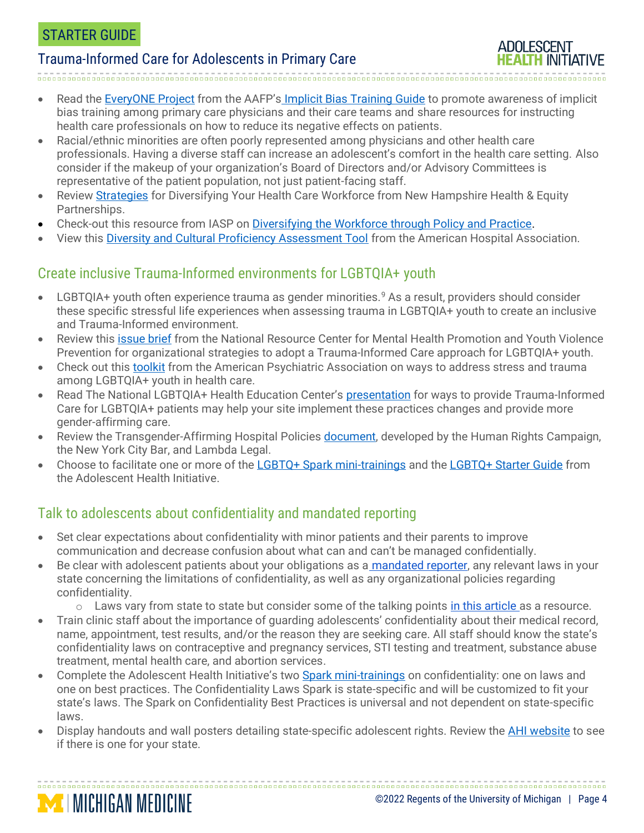### Trauma-Informed Care for Adolescents in Primary Care

Read the [EveryONE Project](https://www.aafp.org/news/practice-professional-issues/20200115implicitbias.html) from the AAFP's [Implicit Bias Training Guide](https://www.aafp.org/dam/AAFP/documents/patient_care/health_equity/implicit-bias-training-facilitator-guide.pdf) to promote awareness of implicit bias training among primary care physicians and their care teams and share resources for instructing health care professionals on how to reduce its negative effects on patients.

- Racial/ethnic minorities are often poorly represented among physicians and other health care professionals. Having a diverse staff can increase an adolescent's comfort in the health care setting. Also consider if the makeup of your organization's Board of Directors and/or Advisory Committees is representative of the patient population, not just patient-facing staff.
- Review [Strategies](https://www.healthynh.org/images/nhhep/Workforce%20Diversity%20Issue%20Brief.pdf) for Diversifying Your Health Care Workforce from New Hampshire Health & Equity Partnerships.
- Check-out this resource from IASP on [Diversifying the Workforce through Policy and Practice.](https://heller.brandeis.edu/iasp/pdfs/jobs/good-jobs-good-health.pdf)
- View this [Diversity and Cultural Proficiency Assessment Tool](https://www.aana.com/docs/default-source/about-us-aana.com-web-documents-(all)/aha-strategies-for-leadership_a-diversity-and-cultural-proficiency-assessmen-_.pdf?sfvrsn=bc3a42b1_10) from the American Hospital Association.

# Create inclusive Trauma-Informed environments for LGBTQIA+ youth

- LGBTQIA+ youth often experience trauma as gender minorities.<sup>9</sup> As a result, providers should consider these specific stressful life experiences when assessing trauma in LGBTQIA+ youth to create an inclusive and Trauma-Informed environment.
- Review this [issue brief](https://healthysafechildren.org/sites/default/files/Trauma_Informed_Approach_LGBTQ_Youth_1.pdf) from the National Resource Center for Mental Health Promotion and Youth Violence Prevention for organizational strategies to adopt a Trauma-Informed Care approach for LGBTQIA+ youth.
- Check out this [toolkit](https://www.psychiatry.org/psychiatrists/cultural-competency/education/stress-and-trauma/lgbtq) from the American Psychiatric Association on ways to address stress and trauma among LGBTQIA+ youth in health care.
- Read The National LGBTQIA+ Health Education Center's [presentation](https://www.lgbtqiahealtheducation.org/wp-content/uploads/2021/03/Trauma-Informed-Care-2021.pdf) for ways to provide Trauma-Informed Care for LGBTQIA+ patients may help your site implement these practices changes and provide more gender-affirming care.
- Review the Transgender-Affirming Hospital Policies [document,](https://assets2.hrc.org/files/assets/resources/TransAffirming-HospitalPolicies-2016.pdf) developed by the Human Rights Campaign, the New York City Bar, and Lambda Legal.
- Choose to facilitate one or more of the [LGBTQ+ Spark mini-trainings](https://umhs-adolescenthealth.org/improving-care/spark-trainings/lgbtq-youth-series/) and th[e LGBTQ+ Starter Guide](https://umhs-adolescenthealth.org/wp-content/uploads/2020/12/lgbtq-youth-friendly-services-starter-guide.pdf) from the Adolescent Health Initiative.

# Talk to adolescents about confidentiality and mandated reporting

**MICHIGAN MEDICINE** 

- Set clear expectations about confidentiality with minor patients and their parents to improve communication and decrease confusion about what can and can't be managed confidentially.
- Be clear with adolescent patients about your obligations as a [mandated reporter,](https://www.childwelfare.gov/pubPDFs/manda.pdf) any relevant laws in your state concerning the limitations of confidentiality, as well as any organizational policies regarding confidentiality.
	- $\circ$  Laws vary from state to state but consider some of the talking points [in this article a](https://www.goodtherapy.org/when-do-minors-in-therapy-have-a-right-to-confidentiality.html)s a resource.
- Train clinic staff about the importance of guarding adolescents' confidentiality about their medical record, name, appointment, test results, and/or the reason they are seeking care. All staff should know the state's confidentiality laws on contraceptive and pregnancy services, STI testing and treatment, substance abuse treatment, mental health care, and abortion services.
- Complete the Adolescent Health Initiative's two [Spark mini-trainings](http://www.umhs-adolescenthealth.org/improving-care/spark-trainings/) on confidentiality: one on laws and one on best practices. The Confidentiality Laws Spark is state-specific and will be customized to fit your state's laws. The Spark on Confidentiality Best Practices is universal and not dependent on state-specific laws.
- Display handouts and wall posters detailing state-specific adolescent rights. Review the [AHI website](https://umhs-adolescenthealth.org/improving-care/health-center-materials/health-rights-posters/) to see if there is one for your state.

**ADOLESCENT**